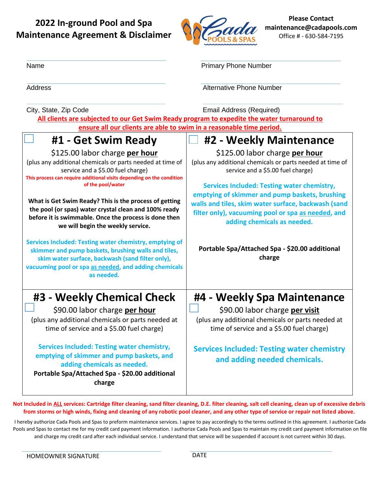## **2022 In-ground Pool and Spa Maintenance Agreement & Disclaimer**



**Please Contact maintenance@cadapools.com** Office # - 630-584-7195

| Name                                                                                                                                                                                                                                      | <b>Primary Phone Number</b>                                                                                                                                                                                                                      |  |
|-------------------------------------------------------------------------------------------------------------------------------------------------------------------------------------------------------------------------------------------|--------------------------------------------------------------------------------------------------------------------------------------------------------------------------------------------------------------------------------------------------|--|
| <b>Address</b>                                                                                                                                                                                                                            | <b>Alternative Phone Number</b>                                                                                                                                                                                                                  |  |
| City, State, Zip Code<br>All clients are subjected to our Get Swim Ready program to expedite the water turnaround to                                                                                                                      | <b>Email Address (Required)</b>                                                                                                                                                                                                                  |  |
| ensure all our clients are able to swim in a reasonable time period.                                                                                                                                                                      |                                                                                                                                                                                                                                                  |  |
| #1 - Get Swim Ready                                                                                                                                                                                                                       | #2 - Weekly Maintenance                                                                                                                                                                                                                          |  |
| \$125.00 labor charge per hour<br>(plus any additional chemicals or parts needed at time of<br>service and a \$5.00 fuel charge)<br>This process can require additional visits depending on the condition                                 | \$125.00 labor charge per hour<br>(plus any additional chemicals or parts needed at time of<br>service and a \$5.00 fuel charge)                                                                                                                 |  |
| of the pool/water<br>What is Get Swim Ready? This is the process of getting<br>the pool (or spas) water crystal clean and 100% ready<br>before it is swimmable. Once the process is done then<br>we will begin the weekly service.        | <b>Services Included: Testing water chemistry,</b><br>emptying of skimmer and pump baskets, brushing<br>walls and tiles, skim water surface, backwash (sand<br>filter only), vacuuming pool or spa as needed, and<br>adding chemicals as needed. |  |
| Services Included: Testing water chemistry, emptying of<br>skimmer and pump baskets, brushing walls and tiles,<br>skim water surface, backwash (sand filter only),<br>vacuuming pool or spa as needed, and adding chemicals<br>as needed. | Portable Spa/Attached Spa - \$20.00 additional<br>charge                                                                                                                                                                                         |  |
| #3 - Weekly Chemical Check<br>\$90.00 labor charge per hour<br>(plus any additional chemicals or parts needed at<br>time of service and a \$5.00 fuel charge)                                                                             | #4 - Weekly Spa Maintenance<br>\$90.00 labor charge per visit<br>(plus any additional chemicals or parts needed at<br>time of service and a \$5.00 fuel charge)                                                                                  |  |
| <b>Services Included: Testing water chemistry,</b><br>emptying of skimmer and pump baskets, and<br>adding chemicals as needed.<br>Portable Spa/Attached Spa - \$20.00 additional<br>charge                                                | <b>Services Included: Testing water chemistry</b><br>and adding needed chemicals.                                                                                                                                                                |  |

**Not Included in ALL services: Cartridge filter cleaning, sand filter cleaning, D.E. filter cleaning, salt cell cleaning, clean up of excessive debris from storms or high winds, fixing and cleaning of any robotic pool cleaner, and any other type of service or repair not listed above.**

I hereby authorize Cada Pools and Spas to preform maintenance services. I agree to pay accordingly to the terms outlined in this agreement. I authorize Cada Pools and Spas to contact me for my credit card payment information. I authorize Cada Pools and Spas to maintain my credit card payment information on file and charge my credit card after each individual service. I understand that service will be suspended if account is not current within 30 days.